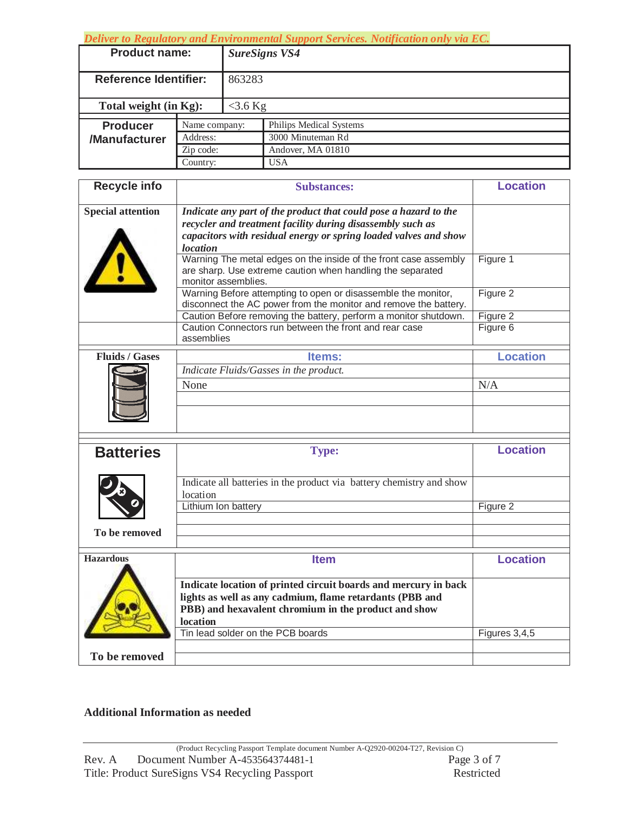*Deliver to Regulatory and Environmental Support Services. Notification only via EC.* 

| <b>Product name:</b>         |                                        | <b>SureSigns VS4</b> |                         |  |
|------------------------------|----------------------------------------|----------------------|-------------------------|--|
| <b>Reference Identifier:</b> |                                        | 863283               |                         |  |
| Total weight (in Kg):        |                                        | $<$ 3.6 Kg           |                         |  |
| <b>Producer</b>              | Name company:<br>Address:<br>Zip code: |                      | Philips Medical Systems |  |
| /Manufacturer                |                                        |                      | 3000 Minuteman Rd       |  |
|                              |                                        |                      | Andover, MA 01810       |  |
|                              | Country:                               |                      | <b>USA</b>              |  |

| <b>Recycle info</b>      | <b>Substances:</b>                                                                                                                                                                                                    | <b>Location</b>      |
|--------------------------|-----------------------------------------------------------------------------------------------------------------------------------------------------------------------------------------------------------------------|----------------------|
| <b>Special attention</b> | Indicate any part of the product that could pose a hazard to the<br>recycler and treatment facility during disassembly such as<br>capacitors with residual energy or spring loaded valves and show<br><b>location</b> |                      |
|                          | Warning The metal edges on the inside of the front case assembly<br>are sharp. Use extreme caution when handling the separated<br>monitor assemblies.                                                                 | Figure 1             |
|                          | Warning Before attempting to open or disassemble the monitor,<br>disconnect the AC power from the monitor and remove the battery.                                                                                     | Figure 2             |
|                          | Caution Before removing the battery, perform a monitor shutdown.<br>Caution Connectors run between the front and rear case<br>assemblies                                                                              | Figure 2<br>Figure 6 |
| <b>Fluids / Gases</b>    | Items:                                                                                                                                                                                                                | <b>Location</b>      |
|                          | Indicate Fluids/Gasses in the product.                                                                                                                                                                                |                      |
|                          | None                                                                                                                                                                                                                  | N/A                  |
|                          |                                                                                                                                                                                                                       |                      |
|                          |                                                                                                                                                                                                                       |                      |
| <b>Batteries</b>         | <b>Type:</b>                                                                                                                                                                                                          | <b>Location</b>      |
|                          | Indicate all batteries in the product via battery chemistry and show<br>location                                                                                                                                      |                      |
|                          | Lithium Ion battery                                                                                                                                                                                                   | Figure 2             |
| To be removed            |                                                                                                                                                                                                                       |                      |
|                          |                                                                                                                                                                                                                       |                      |
| <b>Hazardous</b>         | <b>Item</b>                                                                                                                                                                                                           | <b>Location</b>      |
|                          | Indicate location of printed circuit boards and mercury in back<br>lights as well as any cadmium, flame retardants (PBB and<br>PBB) and hexavalent chromium in the product and show<br>location                       |                      |
|                          | Tin lead solder on the PCB boards                                                                                                                                                                                     | Figures 3,4,5        |
| To be removed            |                                                                                                                                                                                                                       |                      |

## **Additional Information as needed**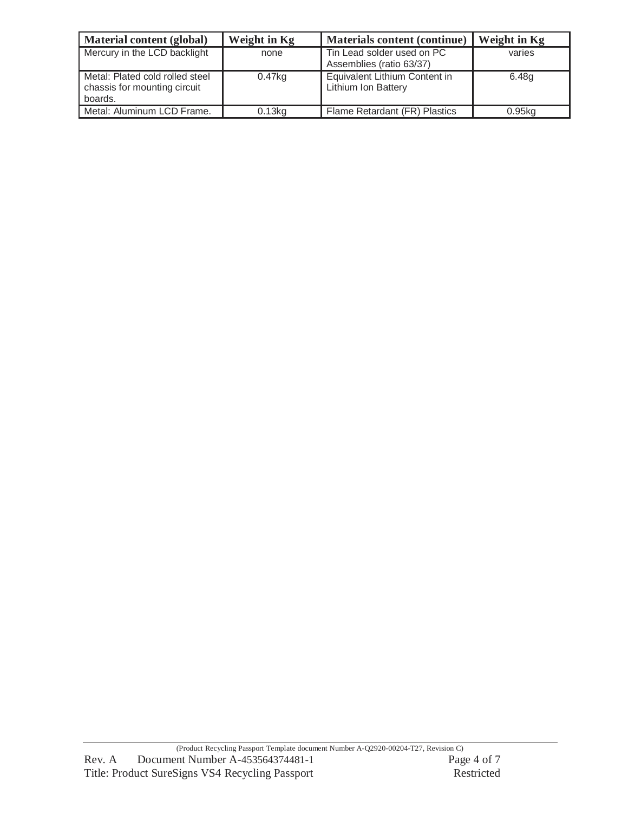| Material content (global)                                                  | Weight in Kg | Materials content (continue)                                | <b>Weight in Kg</b> |
|----------------------------------------------------------------------------|--------------|-------------------------------------------------------------|---------------------|
| Mercury in the LCD backlight                                               | none         | Tin Lead solder used on PC<br>Assemblies (ratio 63/37)      | varies              |
| Metal: Plated cold rolled steel<br>chassis for mounting circuit<br>boards. | 0.47kg       | Equivalent Lithium Content in<br><b>Lithium Ion Battery</b> | 6.48g               |
| Metal: Aluminum LCD Frame.                                                 | 0.13kg       | Flame Retardant (FR) Plastics                               | $0.95$ ka           |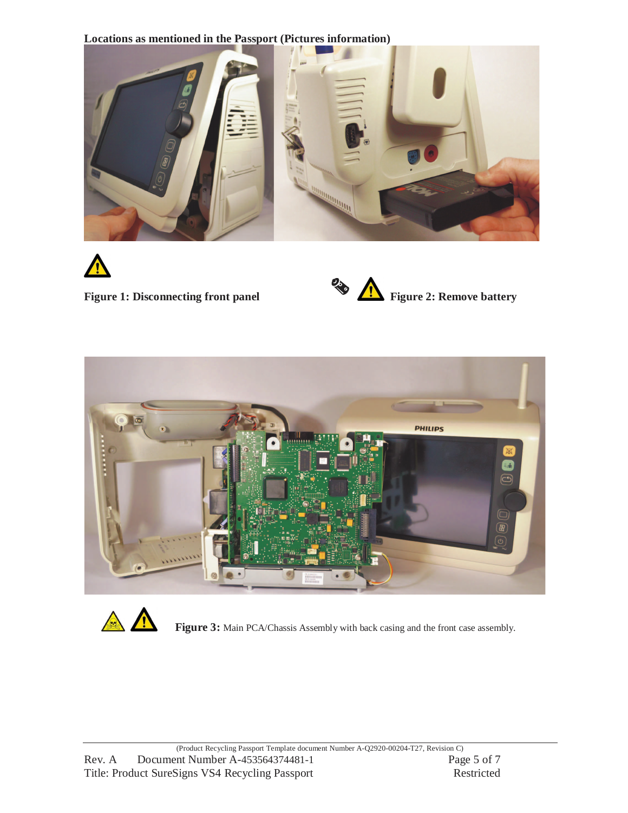**Locations as mentioned in the Passport (Pictures information)** 











**Figure 3:** Main PCA/Chassis Assembly with back casing and the front case assembly.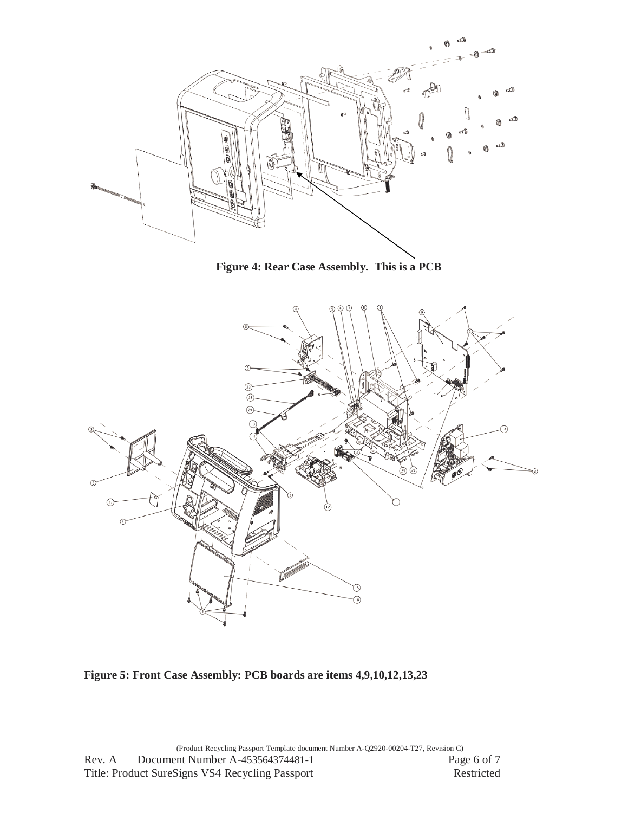

**Figure 4: Rear Case Assembly. This is a PCB** 



**Figure 5: Front Case Assembly: PCB boards are items 4,9,10,12,13,23**